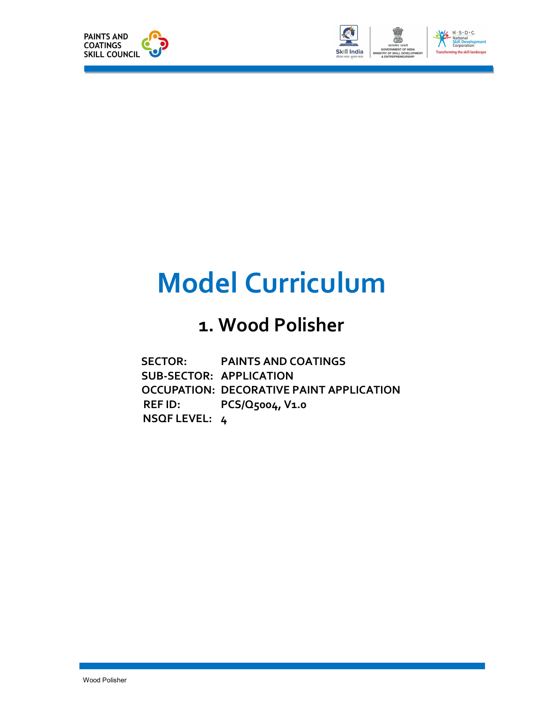



# Model Curriculum

### 1. Wood Polisher

| <b>SECTOR:</b>          | <b>PAINTS AND COATINGS</b>                      |
|-------------------------|-------------------------------------------------|
| SUB-SECTOR: APPLICATION |                                                 |
|                         | <b>OCCUPATION: DECORATIVE PAINT APPLICATION</b> |
| <b>REFID:</b>           | $PCS/Q5004$ , V <sub>1.0</sub>                  |
| NSQF LEVEL: 4           |                                                 |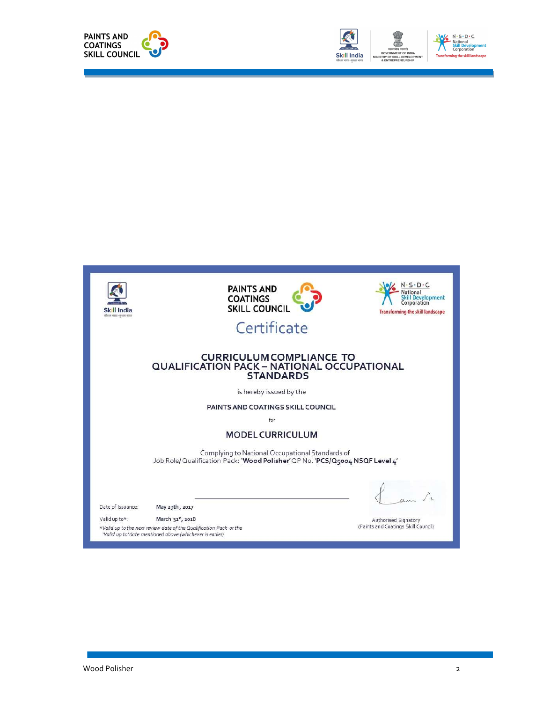



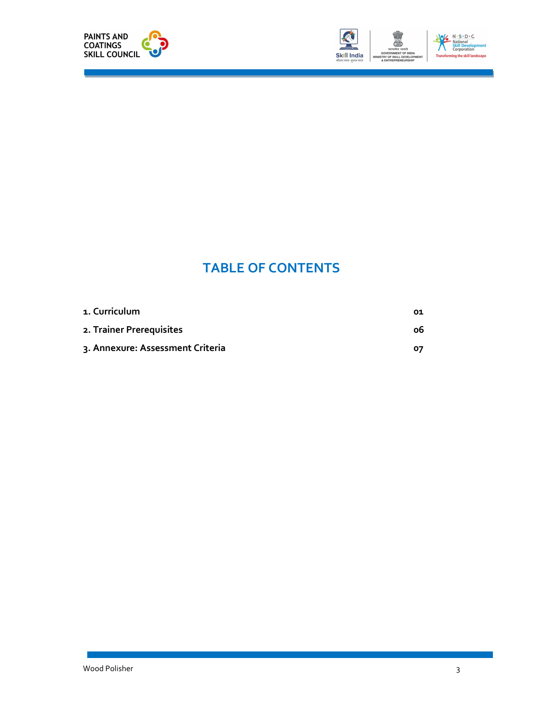



## TABLE OF CONTENTS

| 1. Curriculum                    | 01 |
|----------------------------------|----|
| 2. Trainer Prerequisites         | ο6 |
| 3. Annexure: Assessment Criteria | 07 |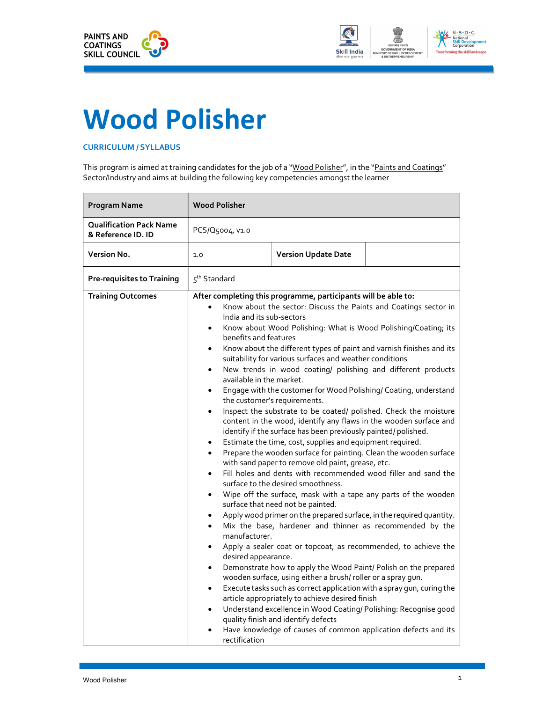



## Wood Polisher

#### CURRICULUM / SYLLABUS

This program is aimed at training candidates for the job of a "Wood Polisher", in the "Paints and Coatings" Sector/Industry and aims at building the following key competencies amongst the learner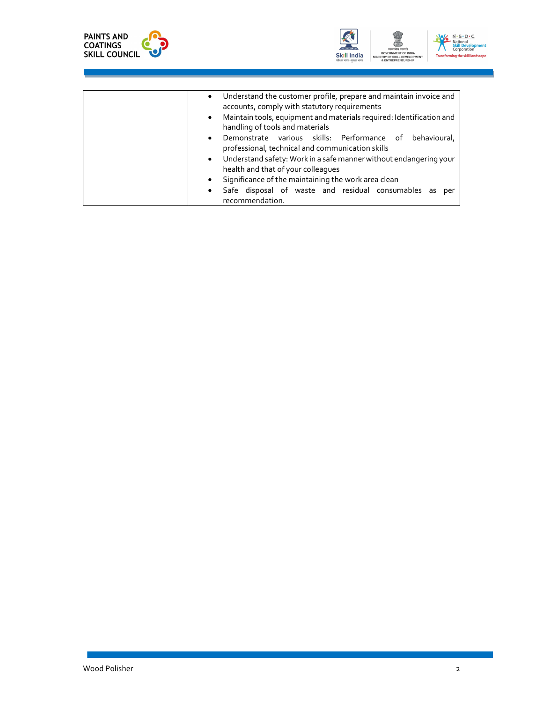



| Understand the customer profile, prepare and maintain invoice and<br>$\bullet$<br>accounts, comply with statutory requirements<br>Maintain tools, equipment and materials required: Identification and<br>$\bullet$<br>handling of tools and materials<br>Demonstrate various skills: Performance of behavioural,<br>٠<br>professional, technical and communication skills |
|----------------------------------------------------------------------------------------------------------------------------------------------------------------------------------------------------------------------------------------------------------------------------------------------------------------------------------------------------------------------------|
| Understand safety: Work in a safe manner without endangering your<br>$\bullet$<br>health and that of your colleagues                                                                                                                                                                                                                                                       |
| Significance of the maintaining the work area clean<br>٠                                                                                                                                                                                                                                                                                                                   |
| Safe disposal of waste and residual consumables as<br>per<br>٠<br>recommendation.                                                                                                                                                                                                                                                                                          |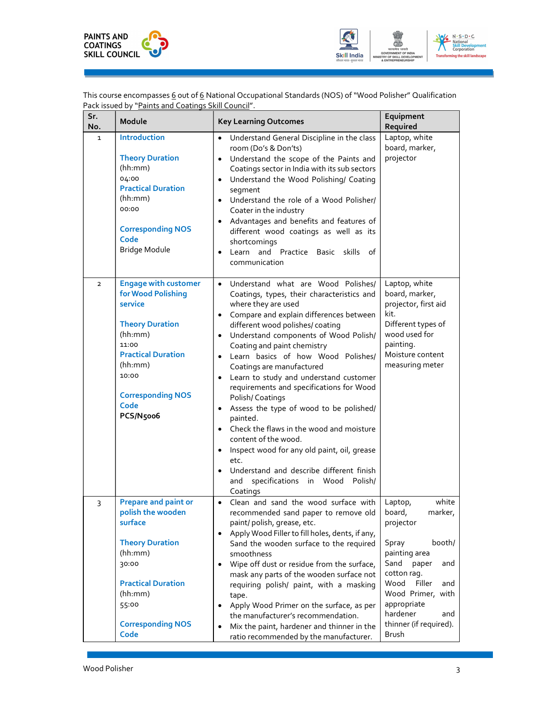



This course encompasses <u>6</u> out of <u>6</u> National Occupational Standards (NOS) of "Wood Polisher" Qualification Pack issued by "Paints and Coatings Skill Council".

| Sr.<br>No.     | Module                                                                                                                                                                                                       | <b>Key Learning Outcomes</b>                                                                                                                                                                                                                                                                                                                                                                                                                                                                                                                                                                                                                                                                                                                                                      | Equipment<br>Required                                                                                                                                                                                                                            |
|----------------|--------------------------------------------------------------------------------------------------------------------------------------------------------------------------------------------------------------|-----------------------------------------------------------------------------------------------------------------------------------------------------------------------------------------------------------------------------------------------------------------------------------------------------------------------------------------------------------------------------------------------------------------------------------------------------------------------------------------------------------------------------------------------------------------------------------------------------------------------------------------------------------------------------------------------------------------------------------------------------------------------------------|--------------------------------------------------------------------------------------------------------------------------------------------------------------------------------------------------------------------------------------------------|
| 1              | Introduction<br><b>Theory Duration</b><br>(hh:mm)<br>04:00<br><b>Practical Duration</b><br>(hh:mm)<br>00:00<br><b>Corresponding NOS</b><br>Code<br>Bridge Module                                             | Understand General Discipline in the class<br>room (Do's & Don'ts)<br>Understand the scope of the Paints and<br>$\bullet$<br>Coatings sector in India with its sub sectors<br>Understand the Wood Polishing/ Coating<br>segment<br>Understand the role of a Wood Polisher/<br>$\bullet$<br>Coater in the industry<br>Advantages and benefits and features of<br>different wood coatings as well as its<br>shortcomings<br>Learn and Practice Basic skills of<br>communication                                                                                                                                                                                                                                                                                                     | Laptop, white<br>board, marker,<br>projector                                                                                                                                                                                                     |
| $\overline{2}$ | <b>Engage with customer</b><br>for Wood Polishing<br>service<br><b>Theory Duration</b><br>(hh:mm)<br>11:00<br><b>Practical Duration</b><br>(hh:mm)<br>10:00<br><b>Corresponding NOS</b><br>Code<br>PCS/N5006 | Understand what are Wood Polishes/<br>$\bullet$<br>Coatings, types, their characteristics and<br>where they are used<br>Compare and explain differences between<br>different wood polishes/ coating<br>Understand components of Wood Polish/<br>Coating and paint chemistry<br>Learn basics of how Wood Polishes/<br>Coatings are manufactured<br>Learn to study and understand customer<br>requirements and specifications for Wood<br>Polish/Coatings<br>Assess the type of wood to be polished/<br>$\bullet$<br>painted.<br>Check the flaws in the wood and moisture<br>$\bullet$<br>content of the wood.<br>Inspect wood for any old paint, oil, grease<br>$\bullet$<br>etc.<br>Understand and describe different finish<br>specifications in Wood Polish/<br>and<br>Coatings | Laptop, white<br>board, marker,<br>projector, first aid<br>kit.<br>Different types of<br>wood used for<br>painting.<br>Moisture content<br>measuring meter                                                                                       |
| 3              | <b>Prepare and paint or</b><br>polish the wooden<br>surface<br><b>Theory Duration</b><br>(hh:mm)<br>30:00<br><b>Practical Duration</b><br>(hh:mm)<br>55:00<br><b>Corresponding NOS</b><br>Code               | Clean and sand the wood surface with<br>$\bullet$<br>recommended sand paper to remove old<br>paint/ polish, grease, etc.<br>Apply Wood Filler to fill holes, dents, if any,<br>Sand the wooden surface to the required<br>smoothness<br>Wipe off dust or residue from the surface,<br>mask any parts of the wooden surface not<br>requiring polish/ paint, with a masking<br>tape.<br>Apply Wood Primer on the surface, as per<br>$\bullet$<br>the manufacturer's recommendation.<br>Mix the paint, hardener and thinner in the<br>$\bullet$<br>ratio recommended by the manufacturer.                                                                                                                                                                                            | white<br>Laptop,<br>board,<br>marker,<br>projector<br>booth/<br>Spray<br>painting area<br>Sand<br>paper<br>and<br>cotton rag.<br>Wood<br>Filler<br>and<br>Wood Primer, with<br>appropriate<br>hardener<br>and<br>thinner (if required).<br>Brush |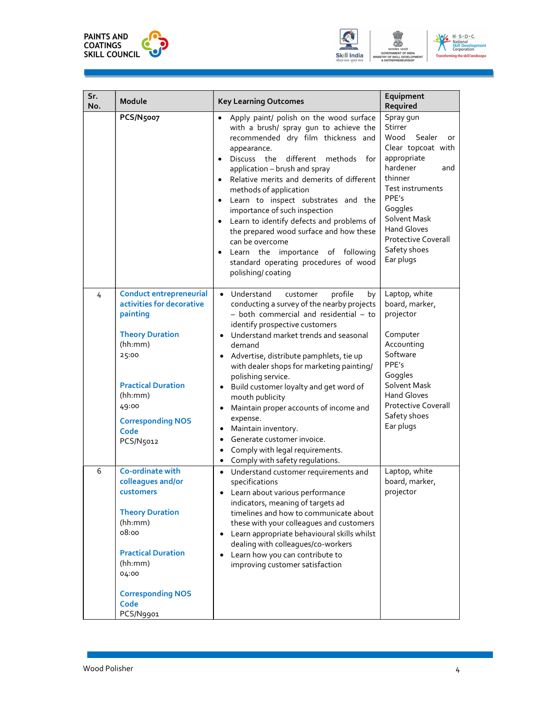





| Sr.<br>No. | Module                                                                                                                                                                                                                  | <b>Key Learning Outcomes</b>                                                                                                                                                                                                                                                                                                                                                                                                                                                                                                                                                       | Equipment<br>Required                                                                                                                                                                                                                                    |
|------------|-------------------------------------------------------------------------------------------------------------------------------------------------------------------------------------------------------------------------|------------------------------------------------------------------------------------------------------------------------------------------------------------------------------------------------------------------------------------------------------------------------------------------------------------------------------------------------------------------------------------------------------------------------------------------------------------------------------------------------------------------------------------------------------------------------------------|----------------------------------------------------------------------------------------------------------------------------------------------------------------------------------------------------------------------------------------------------------|
|            | PCS/N5007                                                                                                                                                                                                               | Apply paint/ polish on the wood surface<br>with a brush/ spray gun to achieve the<br>recommended dry film thickness and<br>appearance.<br>different<br>Discuss the<br>methods for<br>application - brush and spray<br>Relative merits and demerits of different<br>methods of application<br>Learn to inspect substrates and the<br>importance of such inspection<br>Learn to identify defects and problems of<br>the prepared wood surface and how these<br>can be overcome<br>Learn the importance of following<br>standard operating procedures of wood<br>polishing/coating    | Spray gun<br>Stirrer<br>Wood<br>Sealer<br>or<br>Clear topcoat with<br>appropriate<br>hardener<br>and<br>thinner<br>Test instruments<br>PPE's<br>Goggles<br>Solvent Mask<br><b>Hand Gloves</b><br><b>Protective Coverall</b><br>Safety shoes<br>Ear plugs |
| 4          | <b>Conduct entrepreneurial</b><br>activities for decorative<br>painting<br><b>Theory Duration</b><br>(hh:mm)<br>25:00<br><b>Practical Duration</b><br>(hh:mm)<br>49:00<br><b>Corresponding NOS</b><br>Code<br>PCS/N5012 | profile<br>• Understand<br>customer<br>by<br>conducting a survey of the nearby projects<br>- both commercial and residential - to<br>identify prospective customers<br>Understand market trends and seasonal<br>demand<br>Advertise, distribute pamphlets, tie up<br>with dealer shops for marketing painting/<br>polishing service.<br>Build customer loyalty and get word of<br>mouth publicity<br>Maintain proper accounts of income and<br>expense.<br>Maintain inventory.<br>Generate customer invoice.<br>Comply with legal requirements.<br>Comply with safety regulations. | Laptop, white<br>board, marker,<br>projector<br>Computer<br>Accounting<br>Software<br>PPE's<br>Goggles<br>Solvent Mask<br><b>Hand Gloves</b><br><b>Protective Coverall</b><br>Safety shoes<br>Ear plugs                                                  |
| 6          | Co-ordinate with<br>colleagues and/or<br>customers<br><b>Theory Duration</b><br>(hh:mm)<br>08:00<br><b>Practical Duration</b><br>(hh:mm)<br>04:00<br><b>Corresponding NOS</b><br>Code<br>PCS/N9901                      | Understand customer requirements and<br>specifications<br>Learn about various performance<br>indicators, meaning of targets ad<br>timelines and how to communicate about<br>these with your colleagues and customers<br>Learn appropriate behavioural skills whilst<br>dealing with colleagues/co-workers<br>Learn how you can contribute to<br>improving customer satisfaction                                                                                                                                                                                                    | Laptop, white<br>board, marker,<br>projector                                                                                                                                                                                                             |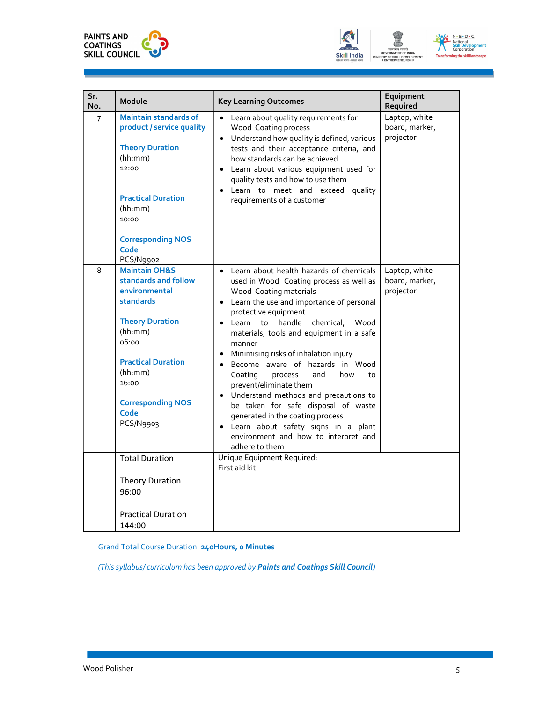





| Sr.<br>No.     | Module                                                                                                                                                                                                                                             | <b>Key Learning Outcomes</b>                                                                                                                                                                                                                                                                                                                                                                                                                                                                                                                                                                                                                                                       | Equipment<br>Required                        |
|----------------|----------------------------------------------------------------------------------------------------------------------------------------------------------------------------------------------------------------------------------------------------|------------------------------------------------------------------------------------------------------------------------------------------------------------------------------------------------------------------------------------------------------------------------------------------------------------------------------------------------------------------------------------------------------------------------------------------------------------------------------------------------------------------------------------------------------------------------------------------------------------------------------------------------------------------------------------|----------------------------------------------|
| $\overline{7}$ | <b>Maintain standards of</b><br>product / service quality<br><b>Theory Duration</b><br>(hh:mm)<br>12:00<br><b>Practical Duration</b><br>(hh:mm)<br>10:00<br><b>Corresponding NOS</b><br>Code                                                       | • Learn about quality requirements for<br>Wood Coating process<br>• Understand how quality is defined, various<br>tests and their acceptance criteria, and<br>how standards can be achieved<br>Learn about various equipment used for<br>quality tests and how to use them<br>Learn to meet and exceed quality<br>requirements of a customer                                                                                                                                                                                                                                                                                                                                       | Laptop, white<br>board, marker,<br>projector |
| 8              | PCS/N9902<br><b>Maintain OH&amp;S</b><br>standards and follow<br>environmental<br><b>standards</b><br><b>Theory Duration</b><br>(hh:mm)<br>06:00<br><b>Practical Duration</b><br>(hh:mm)<br>16:00<br><b>Corresponding NOS</b><br>Code<br>PCS/N9903 | • Learn about health hazards of chemicals<br>used in Wood Coating process as well as<br>Wood Coating materials<br>• Learn the use and importance of personal<br>protective equipment<br>· Learn to handle chemical,<br>Wood<br>materials, tools and equipment in a safe<br>manner<br>Minimising risks of inhalation injury<br>Become aware of hazards in Wood<br>$\bullet$<br>Coating<br>process<br>and<br>how<br>to<br>prevent/eliminate them<br>• Understand methods and precautions to<br>be taken for safe disposal of waste<br>generated in the coating process<br>Learn about safety signs in a plant<br>$\bullet$<br>environment and how to interpret and<br>adhere to them | Laptop, white<br>board, marker,<br>projector |
|                | <b>Total Duration</b><br><b>Theory Duration</b><br>96:00                                                                                                                                                                                           | Unique Equipment Required:<br>First aid kit                                                                                                                                                                                                                                                                                                                                                                                                                                                                                                                                                                                                                                        |                                              |
|                | <b>Practical Duration</b><br>144:00                                                                                                                                                                                                                |                                                                                                                                                                                                                                                                                                                                                                                                                                                                                                                                                                                                                                                                                    |                                              |

Grand Total Course Duration: 240Hours, 0 Minutes

(This syllabus/ curriculum has been approved by Paints and Coatings Skill Council)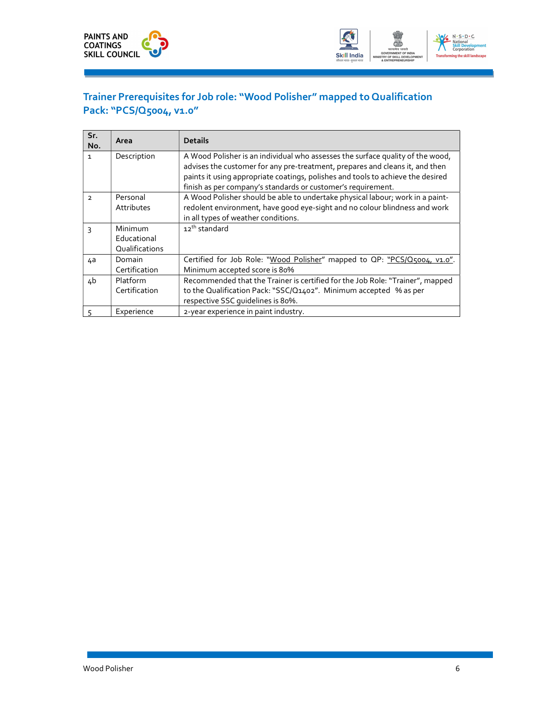



#### Trainer Prerequisites for Job role: "Wood Polisher" mapped to Qualification Pack: "PCS/Q5004, v1.0"

| Sr.<br>No.    | Area           | <b>Details</b>                                                                  |
|---------------|----------------|---------------------------------------------------------------------------------|
| $\mathbf{1}$  | Description    | A Wood Polisher is an individual who assesses the surface quality of the wood,  |
|               |                | advises the customer for any pre-treatment, prepares and cleans it, and then    |
|               |                | paints it using appropriate coatings, polishes and tools to achieve the desired |
|               |                | finish as per company's standards or customer's requirement.                    |
| $\mathcal{L}$ | Personal       | A Wood Polisher should be able to undertake physical labour; work in a paint-   |
|               | Attributes     | redolent environment, have good eye-sight and no colour blindness and work      |
|               |                | in all types of weather conditions.                                             |
| 3             | Minimum        | 12 <sup>th</sup> standard                                                       |
|               | Educational    |                                                                                 |
|               | Qualifications |                                                                                 |
| 4a            | Domain         | Certified for Job Role: "Wood Polisher" mapped to QP: "PCS/Q5004, v1.0".        |
|               | Certification  | Minimum accepted score is 80%                                                   |
| 4b            | Platform       | Recommended that the Trainer is certified for the Job Role: "Trainer", mapped   |
|               | Certification  | to the Qualification Pack: "SSC/Q1402". Minimum accepted % as per               |
|               |                | respective SSC quidelines is 80%.                                               |
|               | Experience     | 2-year experience in paint industry.                                            |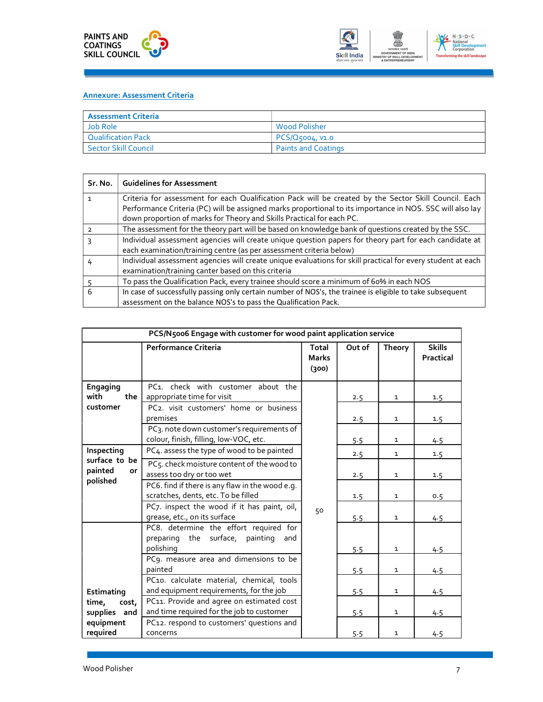



| <b>Assessment Criteria</b>  |                            |
|-----------------------------|----------------------------|
| Job Role                    | <b>Wood Polisher</b>       |
| <b>Qualification Pack</b>   | $ PCS/Q$ 5004, V1.0        |
| <b>Sector Skill Council</b> | <b>Paints and Coatings</b> |

| Sr. No. | <b>Guidelines for Assessment</b>                                                                                                                                                                                                                                                            |
|---------|---------------------------------------------------------------------------------------------------------------------------------------------------------------------------------------------------------------------------------------------------------------------------------------------|
|         | Criteria for assessment for each Qualification Pack will be created by the Sector Skill Council. Each<br>Performance Criteria (PC) will be assigned marks proportional to its importance in NOS. SSC will also lay<br>down proportion of marks for Theory and Skills Practical for each PC. |
|         | The assessment for the theory part will be based on knowledge bank of questions created by the SSC.                                                                                                                                                                                         |
|         | Individual assessment agencies will create unique question papers for theory part for each candidate at<br>each examination/training centre (as per assessment criteria below)                                                                                                              |
|         | Individual assessment agencies will create unique evaluations for skill practical for every student at each<br>examination/training canter based on this criteria                                                                                                                           |
|         | To pass the Qualification Pack, every trainee should score a minimum of 60% in each NOS                                                                                                                                                                                                     |
| 6       | In case of successfully passing only certain number of NOS's, the trainee is eligible to take subsequent<br>assessment on the balance NOS's to pass the Qualification Pack.                                                                                                                 |

|                                            | PCS/N5006 Engage with customer for wood paint application service                                          |                                       |        |              |                            |
|--------------------------------------------|------------------------------------------------------------------------------------------------------------|---------------------------------------|--------|--------------|----------------------------|
|                                            | Performance Criteria                                                                                       | <b>Total</b><br><b>Marks</b><br>(300) | Out of | Theory       | <b>Skills</b><br>Practical |
| Engaging<br>with<br>the<br>customer        | PC1. check with customer about the<br>appropriate time for visit<br>PC2. visit customers' home or business |                                       | 2.5    | $\mathbf{1}$ | 1.5                        |
|                                            | premises                                                                                                   |                                       | 2.5    | $\mathbf{1}$ | 1.5                        |
|                                            | PC3. note down customer's requirements of<br>colour, finish, filling, low-VOC, etc.                        |                                       | 5.5    | $\mathbf{1}$ | 4.5                        |
| Inspecting                                 | PC4. assess the type of wood to be painted                                                                 |                                       | 2.5    | $\mathbf{1}$ | 1.5                        |
| surface to be<br>painted<br>or<br>polished | PC5. check moisture content of the wood to<br>assess too dry or too wet                                    |                                       | 2.5    | $\mathbf{1}$ | 1.5                        |
|                                            | PC6. find if there is any flaw in the wood e.g.<br>scratches, dents, etc. To be filled                     |                                       | 1.5    | $\mathbf{1}$ | 0.5                        |
|                                            | PC7. inspect the wood if it has paint, oil,<br>grease, etc., on its surface                                | 50                                    | 5.5    | $\mathbf{1}$ | 4.5                        |
|                                            | PC8. determine the effort required for<br>preparing the surface, painting<br>and<br>polishing              |                                       | 5.5    | $\mathbf{1}$ | 4.5                        |
|                                            | PC9. measure area and dimensions to be<br>painted                                                          |                                       | 5.5    | $\mathbf{1}$ | 4.5                        |
| Estimating                                 | PC10. calculate material, chemical, tools<br>and equipment requirements, for the job                       |                                       | 5.5    | 1            | 4.5                        |
| time,<br>cost,<br>supplies and             | PC11. Provide and agree on estimated cost<br>and time required for the job to customer                     |                                       | 5.5    | $\mathbf{1}$ | 4.5                        |
| equipment<br>required                      | PC12. respond to customers' questions and<br>concerns                                                      |                                       | 5.5    | $\mathbf{1}$ | 4.5                        |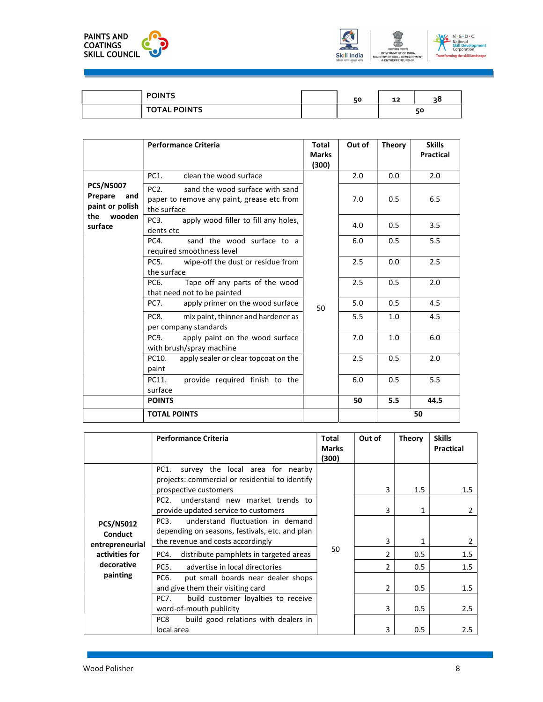





| <b>POINTS</b>                         | <b>ΓΩ</b> | - -<br>ᅩ | - - |
|---------------------------------------|-----------|----------|-----|
| <b>POINTS</b><br><b>TOTAL</b><br>. n. |           |          | 50  |

|                                                       | <b>Performance Criteria</b>                                                                                     | <b>Total</b><br><b>Marks</b><br>(300) | Out of | <b>Theory</b> | <b>Skills</b><br><b>Practical</b> |
|-------------------------------------------------------|-----------------------------------------------------------------------------------------------------------------|---------------------------------------|--------|---------------|-----------------------------------|
|                                                       | PC1.<br>clean the wood surface                                                                                  |                                       | 2.0    | 0.0           | 2.0                               |
| <b>PCS/N5007</b><br>Prepare<br>and<br>paint or polish | PC <sub>2</sub><br>sand the wood surface with sand<br>paper to remove any paint, grease etc from<br>the surface | 50                                    | 7.0    | 0.5           | 6.5                               |
| the<br>wooden<br>surface                              | apply wood filler to fill any holes,<br>PC <sub>3</sub> .<br>dents etc                                          |                                       | 4.0    | 0.5           | 3.5                               |
|                                                       | sand the wood surface to a<br>PC4.<br>required smoothness level                                                 |                                       | 6.0    | 0.5           | 5.5                               |
|                                                       | wipe-off the dust or residue from<br>PC <sub>5</sub> .<br>the surface                                           |                                       | 2.5    | 0.0           | 2.5                               |
|                                                       | Tape off any parts of the wood<br>PC6.<br>that need not to be painted                                           |                                       | 2.5    | 0.5           | 2.0                               |
|                                                       | apply primer on the wood surface<br>PC7.                                                                        |                                       | 5.0    | 0.5           | 4.5                               |
|                                                       | mix paint, thinner and hardener as<br>PC8.<br>per company standards                                             |                                       | 5.5    | 1.0           | 4.5                               |
|                                                       | PC <sub>9</sub><br>apply paint on the wood surface<br>with brush/spray machine                                  |                                       | 7.0    | 1.0           | 6.0                               |
|                                                       | apply sealer or clear topcoat on the<br>PC10.<br>paint                                                          |                                       | 2.5    | 0.5           | 2.0                               |
|                                                       | provide required finish to the<br>PC11.<br>surface                                                              |                                       | 6.0    | 0.5           | 5.5                               |
|                                                       | <b>POINTS</b>                                                                                                   |                                       | 50     | 5.5           | 44.5                              |
|                                                       | <b>TOTAL POINTS</b>                                                                                             |                                       |        |               | 50                                |

|                                                                                                   | <b>Performance Criteria</b>                                                                                                                                                                                                                                                                                                                                                                                                                                                                                                                                                                                                          | <b>Total</b><br><b>Marks</b><br>(300) | Out of                                    | <b>Theory</b>                   | <b>Skills</b><br>Practical           |
|---------------------------------------------------------------------------------------------------|--------------------------------------------------------------------------------------------------------------------------------------------------------------------------------------------------------------------------------------------------------------------------------------------------------------------------------------------------------------------------------------------------------------------------------------------------------------------------------------------------------------------------------------------------------------------------------------------------------------------------------------|---------------------------------------|-------------------------------------------|---------------------------------|--------------------------------------|
| <b>PCS/N5012</b><br><b>Conduct</b><br>entrepreneurial<br>activities for<br>decorative<br>painting | PC1.<br>survey the local area for nearby<br>projects: commercial or residential to identify<br>prospective customers<br>understand new market trends to<br>PC <sub>2</sub> .<br>provide updated service to customers<br>understand fluctuation in demand<br>PC <sub>3</sub> .<br>depending on seasons, festivals, etc. and plan<br>the revenue and costs accordingly<br>distribute pamphlets in targeted areas<br>PC4.<br>PC5.<br>advertise in local directories<br>PC6.<br>put small boards near dealer shops<br>and give them their visiting card<br>build customer loyalties to receive<br><b>PC7.</b><br>word-of-mouth publicity | 50                                    | 3<br>3<br>$\mathcal{P}$<br>$\overline{2}$ | 1.5<br>0.5<br>0.5<br>0.5<br>0.5 | 1.5<br>2<br>1.5<br>1.5<br>1.5<br>2.5 |
|                                                                                                   | PC8<br>build good relations with dealers in<br>local area                                                                                                                                                                                                                                                                                                                                                                                                                                                                                                                                                                            |                                       | 3                                         | 0.5                             | 2.5                                  |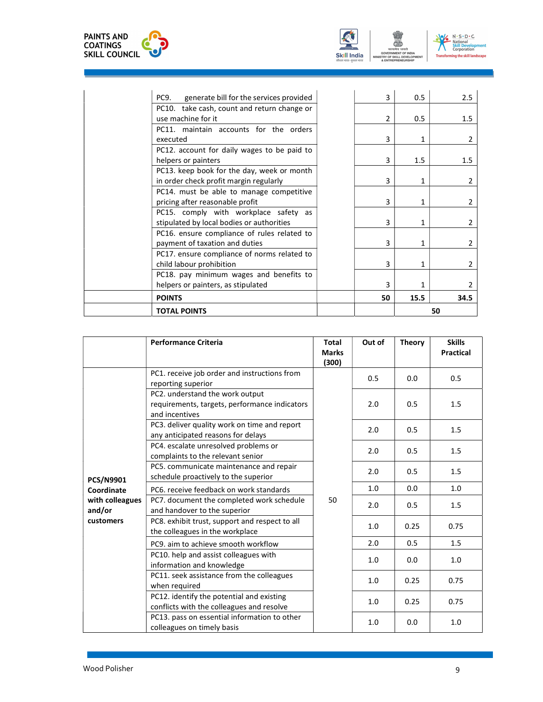





| <b>TOTAL POINTS</b>                                                           |    |      | 50             |
|-------------------------------------------------------------------------------|----|------|----------------|
| <b>POINTS</b>                                                                 | 50 | 15.5 | 34.5           |
| helpers or painters, as stipulated                                            | 3  |      | $\overline{2}$ |
| PC18. pay minimum wages and benefits to                                       |    |      |                |
| child labour prohibition                                                      | 3  |      | 2              |
| PC17. ensure compliance of norms related to                                   |    |      |                |
| PC16. ensure compliance of rules related to<br>payment of taxation and duties | 3  |      | 2              |
| stipulated by local bodies or authorities                                     | 3. |      | $\overline{2}$ |
| PC15. comply with workplace safety as                                         |    |      |                |
| PC14. must be able to manage competitive<br>pricing after reasonable profit   | 3  |      | 2              |
| in order check profit margin regularly                                        | 3  |      | 2              |
| PC13. keep book for the day, week or month                                    |    |      |                |
| helpers or painters                                                           | 3  | 1.5  | 1.5            |
| PC12. account for daily wages to be paid to                                   |    |      |                |
| executed                                                                      | 3  |      | 2              |
| PC11. maintain accounts for the orders                                        |    |      |                |
| use machine for it                                                            | 2  | 0.5  | 1.5            |
| PC10. take cash, count and return change or                                   |    |      |                |
| generate bill for the services provided<br>PC9.                               |    | 0.5  | 2.5            |

|                           | <b>Performance Criteria</b>                                                                        | <b>Total</b><br><b>Marks</b><br>(300) | Out of | <b>Theory</b> | <b>Skills</b><br><b>Practical</b> |
|---------------------------|----------------------------------------------------------------------------------------------------|---------------------------------------|--------|---------------|-----------------------------------|
|                           | PC1. receive job order and instructions from<br>reporting superior                                 |                                       | 0.5    | 0.0           | 0.5                               |
|                           | PC2. understand the work output<br>requirements, targets, performance indicators<br>and incentives |                                       | 2.0    | 0.5           | 1.5                               |
|                           | PC3. deliver quality work on time and report<br>any anticipated reasons for delays                 |                                       | 2.0    | 0.5           | 1.5                               |
| <b>PCS/N9901</b>          | PC4. escalate unresolved problems or<br>complaints to the relevant senior                          |                                       | 2.0    | 0.5           | 1.5                               |
|                           | PC5. communicate maintenance and repair<br>schedule proactively to the superior                    |                                       | 2.0    | 0.5           | 1.5                               |
| Coordinate                | PC6, receive feedback on work standards                                                            |                                       | 1.0    | 0.0           | 1.0                               |
| with colleagues<br>and/or | PC7. document the completed work schedule<br>and handover to the superior                          | 50                                    | 2.0    | 0.5           | 1.5                               |
| customers                 | PC8. exhibit trust, support and respect to all<br>the colleagues in the workplace                  |                                       | 1.0    | 0.25          | 0.75                              |
|                           | PC9, aim to achieve smooth workflow                                                                |                                       | 2.0    | 0.5           | 1.5                               |
|                           | PC10. help and assist colleagues with<br>information and knowledge                                 |                                       | 1.0    | 0.0           | 1.0                               |
|                           | PC11. seek assistance from the colleagues<br>when required                                         |                                       | 1.0    | 0.25          | 0.75                              |
|                           | PC12. identify the potential and existing<br>conflicts with the colleagues and resolve             |                                       | 1.0    | 0.25          | 0.75                              |
|                           | PC13. pass on essential information to other<br>colleagues on timely basis                         |                                       | 1.0    | 0.0           | 1.0                               |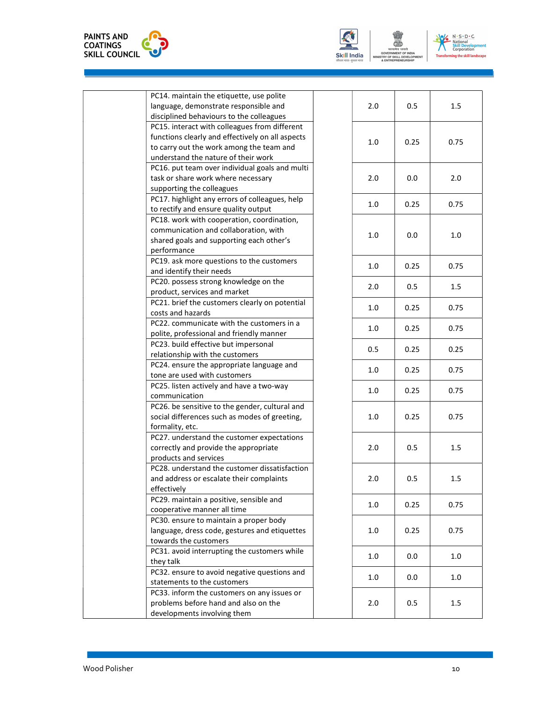





| 0.5<br>2.0<br>1.5<br>disciplined behaviours to the colleagues<br>PC15. interact with colleagues from different<br>functions clearly and effectively on all aspects<br>0.75<br>1.0<br>0.25<br>to carry out the work among the team and<br>understand the nature of their work<br>PC16. put team over individual goals and multi |     |     | PC14. maintain the etiquette, use polite<br>language, demonstrate responsible and |
|--------------------------------------------------------------------------------------------------------------------------------------------------------------------------------------------------------------------------------------------------------------------------------------------------------------------------------|-----|-----|-----------------------------------------------------------------------------------|
|                                                                                                                                                                                                                                                                                                                                |     |     |                                                                                   |
|                                                                                                                                                                                                                                                                                                                                |     |     |                                                                                   |
|                                                                                                                                                                                                                                                                                                                                |     |     |                                                                                   |
|                                                                                                                                                                                                                                                                                                                                |     |     |                                                                                   |
|                                                                                                                                                                                                                                                                                                                                |     |     |                                                                                   |
|                                                                                                                                                                                                                                                                                                                                |     |     |                                                                                   |
|                                                                                                                                                                                                                                                                                                                                |     |     |                                                                                   |
| 2.0<br>0.0<br>2.0                                                                                                                                                                                                                                                                                                              |     |     | task or share work where necessary                                                |
|                                                                                                                                                                                                                                                                                                                                |     |     | supporting the colleagues                                                         |
|                                                                                                                                                                                                                                                                                                                                |     |     | PC17. highlight any errors of colleagues, help                                    |
| 1.0<br>0.25<br>0.75                                                                                                                                                                                                                                                                                                            |     |     | to rectify and ensure quality output                                              |
|                                                                                                                                                                                                                                                                                                                                |     |     | PC18. work with cooperation, coordination,                                        |
|                                                                                                                                                                                                                                                                                                                                |     |     | communication and collaboration, with                                             |
| 1.0<br>0.0<br>1.0                                                                                                                                                                                                                                                                                                              |     |     | shared goals and supporting each other's                                          |
|                                                                                                                                                                                                                                                                                                                                |     |     | performance                                                                       |
|                                                                                                                                                                                                                                                                                                                                |     |     | PC19. ask more questions to the customers                                         |
| 0.75<br>1.0<br>0.25                                                                                                                                                                                                                                                                                                            |     |     | and identify their needs                                                          |
|                                                                                                                                                                                                                                                                                                                                |     |     | PC20. possess strong knowledge on the                                             |
| 2.0<br>0.5<br>1.5                                                                                                                                                                                                                                                                                                              |     |     | product, services and market                                                      |
|                                                                                                                                                                                                                                                                                                                                |     |     | PC21. brief the customers clearly on potential                                    |
| 1.0<br>0.25<br>0.75                                                                                                                                                                                                                                                                                                            |     |     | costs and hazards                                                                 |
|                                                                                                                                                                                                                                                                                                                                |     |     | PC22. communicate with the customers in a                                         |
| 1.0<br>0.25<br>0.75                                                                                                                                                                                                                                                                                                            |     |     | polite, professional and friendly manner                                          |
|                                                                                                                                                                                                                                                                                                                                |     |     | PC23. build effective but impersonal                                              |
| 0.5<br>0.25<br>0.25                                                                                                                                                                                                                                                                                                            |     |     | relationship with the customers                                                   |
|                                                                                                                                                                                                                                                                                                                                |     |     | PC24. ensure the appropriate language and                                         |
| 1.0<br>0.25<br>0.75                                                                                                                                                                                                                                                                                                            |     |     | tone are used with customers                                                      |
|                                                                                                                                                                                                                                                                                                                                |     |     | PC25. listen actively and have a two-way                                          |
| 1.0<br>0.25<br>0.75                                                                                                                                                                                                                                                                                                            |     |     | communication                                                                     |
|                                                                                                                                                                                                                                                                                                                                |     |     | PC26. be sensitive to the gender, cultural and                                    |
| 1.0<br>0.25<br>0.75                                                                                                                                                                                                                                                                                                            |     |     | social differences such as modes of greeting,                                     |
|                                                                                                                                                                                                                                                                                                                                |     |     | formality, etc.                                                                   |
|                                                                                                                                                                                                                                                                                                                                |     |     | PC27. understand the customer expectations                                        |
| 2.0<br>0.5<br>1.5                                                                                                                                                                                                                                                                                                              |     |     | correctly and provide the appropriate                                             |
|                                                                                                                                                                                                                                                                                                                                |     |     | products and services                                                             |
|                                                                                                                                                                                                                                                                                                                                |     |     | PC28. understand the customer dissatisfaction                                     |
| 2.0<br>0.5<br>1.5                                                                                                                                                                                                                                                                                                              |     |     | and address or escalate their complaints                                          |
|                                                                                                                                                                                                                                                                                                                                |     |     | effectively                                                                       |
| 1.0<br>0.75                                                                                                                                                                                                                                                                                                                    |     |     | PC29. maintain a positive, sensible and                                           |
| 0.25                                                                                                                                                                                                                                                                                                                           |     |     | cooperative manner all time                                                       |
|                                                                                                                                                                                                                                                                                                                                |     |     | PC30. ensure to maintain a proper body                                            |
| 1.0<br>0.25<br>0.75                                                                                                                                                                                                                                                                                                            |     |     | language, dress code, gestures and etiquettes                                     |
|                                                                                                                                                                                                                                                                                                                                |     |     | towards the customers                                                             |
|                                                                                                                                                                                                                                                                                                                                |     |     | PC31. avoid interrupting the customers while                                      |
| 1.0<br>0.0<br>1.0                                                                                                                                                                                                                                                                                                              |     |     | they talk                                                                         |
| 0.0<br>1.0                                                                                                                                                                                                                                                                                                                     |     |     | PC32. ensure to avoid negative questions and                                      |
| 1.0                                                                                                                                                                                                                                                                                                                            |     |     | statements to the customers                                                       |
|                                                                                                                                                                                                                                                                                                                                |     |     | PC33. inform the customers on any issues or                                       |
|                                                                                                                                                                                                                                                                                                                                | 0.5 | 2.0 | problems before hand and also on the                                              |
| 1.5                                                                                                                                                                                                                                                                                                                            |     |     | developments involving them                                                       |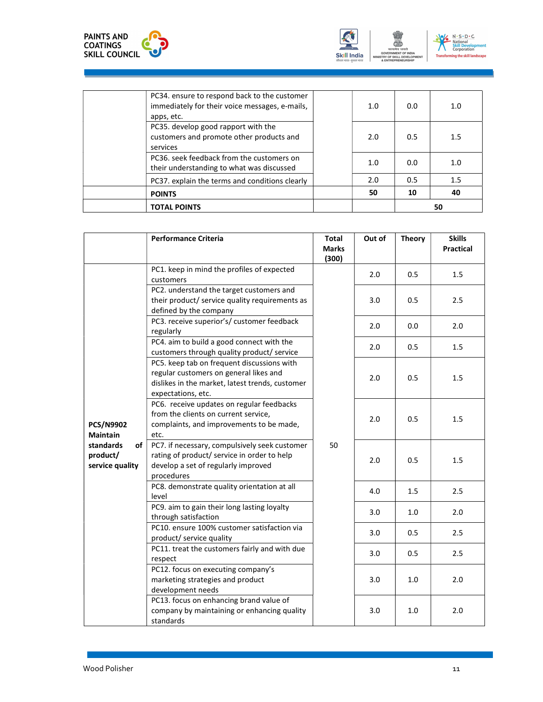





| <b>POINTS</b> | their understanding to what was discussed<br>PC37. explain the terms and conditions clearly    | 2.0<br>50 | 0.5<br>10 | 1.5<br>40 |  |
|---------------|------------------------------------------------------------------------------------------------|-----------|-----------|-----------|--|
|               |                                                                                                |           |           |           |  |
|               |                                                                                                |           |           |           |  |
|               | PC36, seek feedback from the customers on                                                      | 1.0       | 0.0       | 1.0       |  |
| services      | PC35. develop good rapport with the<br>customers and promote other products and                | 2.0       | 0.5       | 1.5       |  |
| apps, etc.    | PC34. ensure to respond back to the customer<br>immediately for their voice messages, e-mails, | 1.0       | 0.0       | 1.0       |  |

|                                                | <b>Performance Criteria</b>                                                                                                                                   | <b>Total</b><br><b>Marks</b><br>(300) | Out of | <b>Theory</b> | <b>Skills</b><br><b>Practical</b> |
|------------------------------------------------|---------------------------------------------------------------------------------------------------------------------------------------------------------------|---------------------------------------|--------|---------------|-----------------------------------|
|                                                | PC1. keep in mind the profiles of expected<br>customers                                                                                                       |                                       | 2.0    | 0.5           | 1.5                               |
|                                                | PC2. understand the target customers and<br>their product/ service quality requirements as<br>defined by the company                                          |                                       | 3.0    | 0.5           | 2.5                               |
|                                                | PC3. receive superior's/ customer feedback<br>regularly                                                                                                       |                                       | 2.0    | 0.0           | 2.0                               |
|                                                | PC4. aim to build a good connect with the<br>customers through quality product/ service                                                                       |                                       | 2.0    | 0.5           | 1.5                               |
|                                                | PC5. keep tab on frequent discussions with<br>regular customers on general likes and<br>dislikes in the market, latest trends, customer<br>expectations, etc. |                                       | 2.0    | 0.5           | 1.5                               |
| <b>PCS/N9902</b><br><b>Maintain</b>            | PC6. receive updates on regular feedbacks<br>from the clients on current service,<br>complaints, and improvements to be made,<br>etc.                         |                                       | 2.0    | 0.5           | 1.5                               |
| standards<br>of<br>product/<br>service quality | PC7. if necessary, compulsively seek customer<br>rating of product/ service in order to help<br>develop a set of regularly improved<br>procedures             | 50                                    | 2.0    | 0.5           | 1.5                               |
|                                                | PC8. demonstrate quality orientation at all<br>level                                                                                                          |                                       | 4.0    | 1.5           | 2.5                               |
|                                                | PC9. aim to gain their long lasting loyalty<br>through satisfaction                                                                                           |                                       | 3.0    | 1.0           | 2.0                               |
|                                                | PC10. ensure 100% customer satisfaction via<br>product/ service quality                                                                                       |                                       | 3.0    | 0.5           | 2.5                               |
|                                                | PC11. treat the customers fairly and with due<br>respect                                                                                                      |                                       | 3.0    | 0.5           | 2.5                               |
|                                                | PC12. focus on executing company's<br>marketing strategies and product<br>development needs                                                                   |                                       | 3.0    | $1.0$         | 2.0                               |
|                                                | PC13. focus on enhancing brand value of<br>company by maintaining or enhancing quality<br>standards                                                           |                                       | 3.0    | 1.0           | 2.0                               |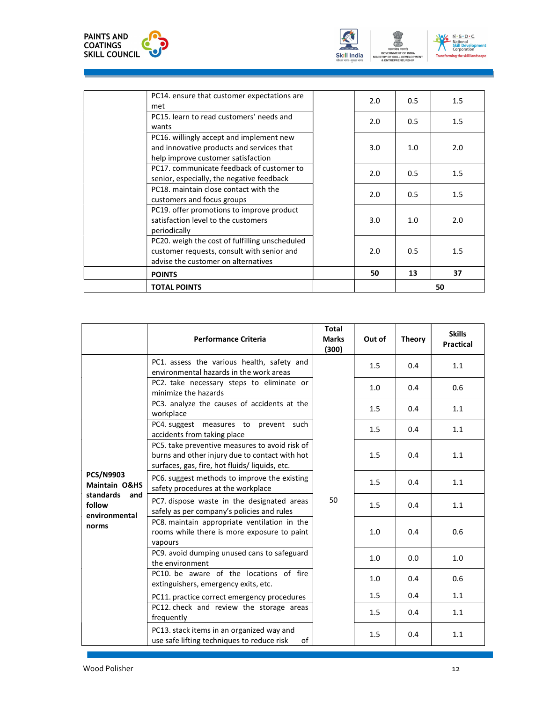





| <b>TOTAL POINTS</b>                                                                   |     |     | 50  |
|---------------------------------------------------------------------------------------|-----|-----|-----|
| <b>POINTS</b>                                                                         | 50  | 13  | 37  |
| advise the customer on alternatives                                                   |     |     |     |
| customer requests, consult with senior and                                            | 2.0 | 0.5 | 1.5 |
| PC20. weigh the cost of fulfilling unscheduled                                        |     |     |     |
| periodically                                                                          |     |     |     |
| satisfaction level to the customers                                                   | 3.0 | 1.0 | 2.0 |
| PC19. offer promotions to improve product                                             |     |     |     |
| customers and focus groups                                                            | 2.0 | 0.5 | 1.5 |
| PC18, maintain close contact with the                                                 |     |     |     |
| senior, especially, the negative feedback                                             | 2.0 | 0.5 | 1.5 |
| PC17. communicate feedback of customer to                                             |     |     |     |
| help improve customer satisfaction                                                    |     |     |     |
| PC16. willingly accept and implement new<br>and innovative products and services that | 3.0 | 1.0 | 2.0 |
| wants                                                                                 |     |     |     |
| PC15. learn to read customers' needs and                                              | 2.0 | 0.5 | 1.5 |
| met                                                                                   |     |     |     |
| PC14. ensure that customer expectations are                                           | 2.0 | 0.5 | 1.5 |

|                                              | <b>Performance Criteria</b>                                                                                                                        | <b>Total</b><br><b>Marks</b><br>(300) | Out of | <b>Theory</b> | <b>Skills</b><br><b>Practical</b> |
|----------------------------------------------|----------------------------------------------------------------------------------------------------------------------------------------------------|---------------------------------------|--------|---------------|-----------------------------------|
|                                              | PC1. assess the various health, safety and<br>environmental hazards in the work areas                                                              |                                       | 1.5    | 0.4           | 1.1                               |
|                                              | PC2. take necessary steps to eliminate or<br>minimize the hazards                                                                                  |                                       | 1.0    | 0.4           | 0.6                               |
|                                              | PC3. analyze the causes of accidents at the<br>workplace                                                                                           |                                       | 1.5    | 0.4           | 1.1                               |
|                                              | PC4. suggest measures to prevent such<br>accidents from taking place                                                                               | 50                                    | 1.5    | 0.4           | $1.1\,$                           |
|                                              | PC5. take preventive measures to avoid risk of<br>burns and other injury due to contact with hot<br>surfaces, gas, fire, hot fluids/ liquids, etc. |                                       | 1.5    | 0.4           | 1.1                               |
| <b>PCS/N9903</b><br><b>Maintain O&amp;HS</b> | PC6. suggest methods to improve the existing<br>safety procedures at the workplace                                                                 |                                       | 1.5    | 0.4           | 1.1                               |
| standards and<br>follow<br>environmental     | PC7. dispose waste in the designated areas<br>safely as per company's policies and rules                                                           |                                       | 1.5    | 0.4           | 1.1                               |
| norms                                        | PC8. maintain appropriate ventilation in the<br>rooms while there is more exposure to paint<br>vapours                                             |                                       | 1.0    | 0.4           | 0.6                               |
|                                              | PC9. avoid dumping unused cans to safeguard<br>the environment                                                                                     |                                       | 1.0    | 0.0           | $1.0\,$                           |
|                                              | PC10, be aware of the locations of fire<br>extinguishers, emergency exits, etc.                                                                    |                                       | 1.0    | 0.4           | 0.6                               |
|                                              | PC11. practice correct emergency procedures                                                                                                        |                                       | 1.5    | 0.4           | 1.1                               |
|                                              | PC12. check and review the storage areas<br>frequently                                                                                             |                                       | 1.5    | 0.4           | 1.1                               |
|                                              | PC13. stack items in an organized way and<br>use safe lifting techniques to reduce risk<br>of                                                      |                                       | 1.5    | 0.4           | 1.1                               |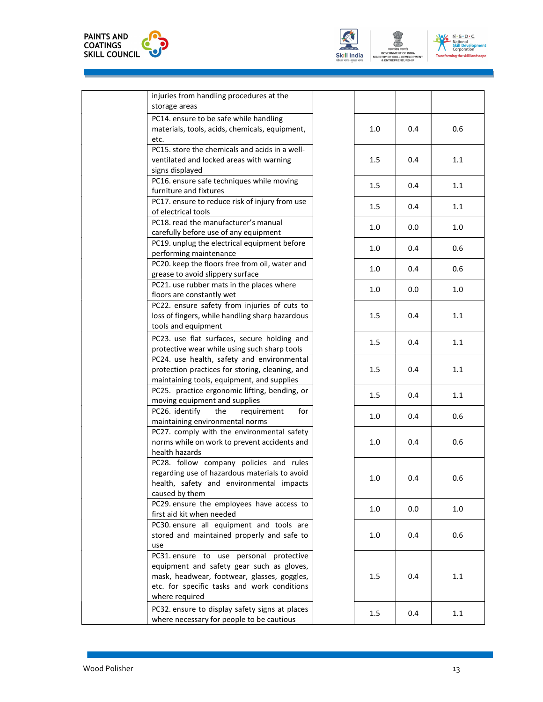



| injuries from handling procedures at the<br>storage areas                                                                                                                                            |     |     |     |
|------------------------------------------------------------------------------------------------------------------------------------------------------------------------------------------------------|-----|-----|-----|
| PC14. ensure to be safe while handling<br>materials, tools, acids, chemicals, equipment,<br>etc.                                                                                                     | 1.0 | 0.4 | 0.6 |
| PC15. store the chemicals and acids in a well-<br>ventilated and locked areas with warning                                                                                                           | 1.5 | 0.4 | 1.1 |
| signs displayed<br>PC16. ensure safe techniques while moving<br>furniture and fixtures                                                                                                               | 1.5 | 0.4 | 1.1 |
| PC17. ensure to reduce risk of injury from use<br>of electrical tools                                                                                                                                | 1.5 | 0.4 | 1.1 |
| PC18. read the manufacturer's manual<br>carefully before use of any equipment                                                                                                                        | 1.0 | 0.0 | 1.0 |
| PC19. unplug the electrical equipment before<br>performing maintenance                                                                                                                               | 1.0 | 0.4 | 0.6 |
| PC20. keep the floors free from oil, water and<br>grease to avoid slippery surface                                                                                                                   | 1.0 | 0.4 | 0.6 |
| PC21. use rubber mats in the places where<br>floors are constantly wet                                                                                                                               | 1.0 | 0.0 | 1.0 |
| PC22. ensure safety from injuries of cuts to<br>loss of fingers, while handling sharp hazardous<br>tools and equipment                                                                               | 1.5 | 0.4 | 1.1 |
| PC23. use flat surfaces, secure holding and<br>protective wear while using such sharp tools                                                                                                          | 1.5 | 0.4 | 1.1 |
| PC24. use health, safety and environmental<br>protection practices for storing, cleaning, and<br>maintaining tools, equipment, and supplies                                                          | 1.5 | 0.4 | 1.1 |
| PC25. practice ergonomic lifting, bending, or<br>moving equipment and supplies                                                                                                                       | 1.5 | 0.4 | 1.1 |
| PC26. identify<br>for<br>the<br>requirement<br>maintaining environmental norms                                                                                                                       | 1.0 | 0.4 | 0.6 |
| PC27. comply with the environmental safety<br>norms while on work to prevent accidents and<br>health hazards                                                                                         | 1.0 | 0.4 | 0.6 |
| PC28. follow company policies and rules<br>regarding use of hazardous materials to avoid<br>health, safety and environmental impacts<br>caused by them                                               | 1.0 | 0.4 | 0.6 |
| PC29. ensure the employees have access to<br>first aid kit when needed                                                                                                                               | 1.0 | 0.0 | 1.0 |
| PC30. ensure all equipment and tools are<br>stored and maintained properly and safe to<br>use                                                                                                        | 1.0 | 0.4 | 0.6 |
| PC31. ensure to use personal protective<br>equipment and safety gear such as gloves,<br>mask, headwear, footwear, glasses, goggles,<br>etc. for specific tasks and work conditions<br>where required | 1.5 | 0.4 | 1.1 |
| PC32. ensure to display safety signs at places<br>where necessary for people to be cautious                                                                                                          | 1.5 | 0.4 | 1.1 |